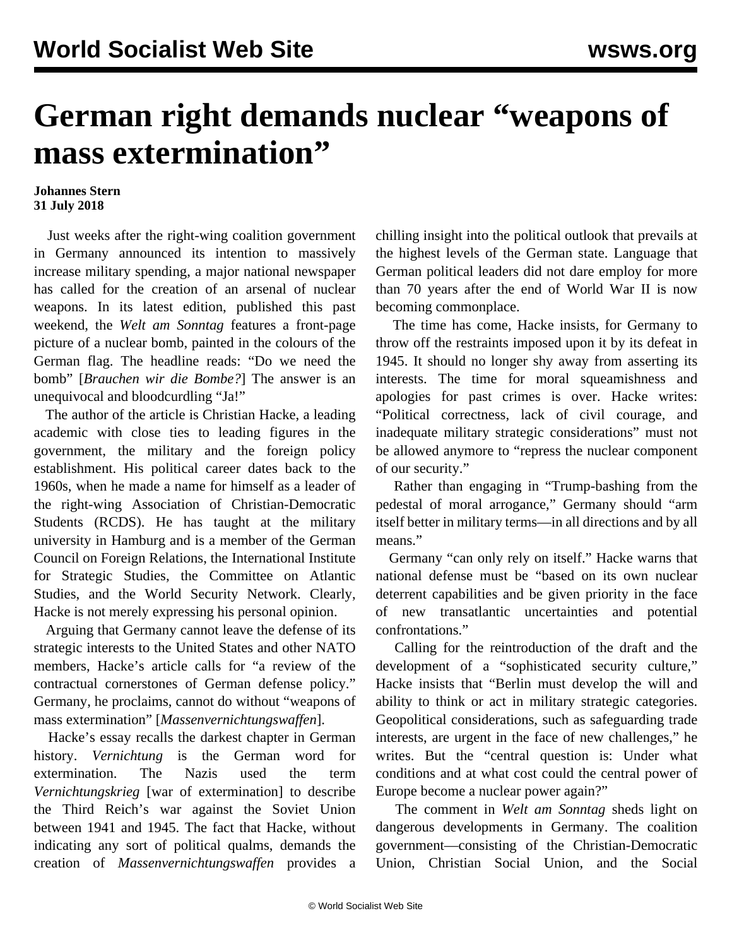## **German right demands nuclear "weapons of mass extermination"**

## **Johannes Stern 31 July 2018**

 Just weeks after the right-wing coalition government in Germany announced its intention to massively increase military spending, a major national newspaper has called for the creation of an arsenal of nuclear weapons. In its latest edition, published this past weekend, the *Welt am Sonntag* features a front-page picture of a nuclear bomb, painted in the colours of the German flag. The headline reads: "Do we need the bomb" [*Brauchen wir die Bombe?*] The answer is an unequivocal and bloodcurdling "Ja!"

 The author of the article is Christian Hacke, a leading academic with close ties to leading figures in the government, the military and the foreign policy establishment. His political career dates back to the 1960s, when he made a name for himself as a leader of the right-wing Association of Christian-Democratic Students (RCDS). He has taught at the military university in Hamburg and is a member of the German Council on Foreign Relations, the International Institute for Strategic Studies, the Committee on Atlantic Studies, and the World Security Network. Clearly, Hacke is not merely expressing his personal opinion.

 Arguing that Germany cannot leave the defense of its strategic interests to the United States and other NATO members, Hacke's article calls for "a review of the contractual cornerstones of German defense policy." Germany, he proclaims, cannot do without "weapons of mass extermination" [*Massenvernichtungswaffen*].

 Hacke's essay recalls the darkest chapter in German history. *Vernichtung* is the German word for extermination. The Nazis used the term *Vernichtungskrieg* [war of extermination] to describe the Third Reich's war against the Soviet Union between 1941 and 1945. The fact that Hacke, without indicating any sort of political qualms, demands the creation of *Massenvernichtungswaffen* provides a chilling insight into the political outlook that prevails at the highest levels of the German state. Language that German political leaders did not dare employ for more than 70 years after the end of World War II is now becoming commonplace.

 The time has come, Hacke insists, for Germany to throw off the restraints imposed upon it by its defeat in 1945. It should no longer shy away from asserting its interests. The time for moral squeamishness and apologies for past crimes is over. Hacke writes: "Political correctness, lack of civil courage, and inadequate military strategic considerations" must not be allowed anymore to "repress the nuclear component of our security."

 Rather than engaging in "Trump-bashing from the pedestal of moral arrogance," Germany should "arm itself better in military terms—in all directions and by all means."

 Germany "can only rely on itself." Hacke warns that national defense must be "based on its own nuclear deterrent capabilities and be given priority in the face of new transatlantic uncertainties and potential confrontations."

 Calling for the reintroduction of the draft and the development of a "sophisticated security culture," Hacke insists that "Berlin must develop the will and ability to think or act in military strategic categories. Geopolitical considerations, such as safeguarding trade interests, are urgent in the face of new challenges," he writes. But the "central question is: Under what conditions and at what cost could the central power of Europe become a nuclear power again?"

 The comment in *Welt am Sonntag* sheds light on dangerous developments in Germany. The coalition government—consisting of the Christian-Democratic Union, Christian Social Union, and the Social